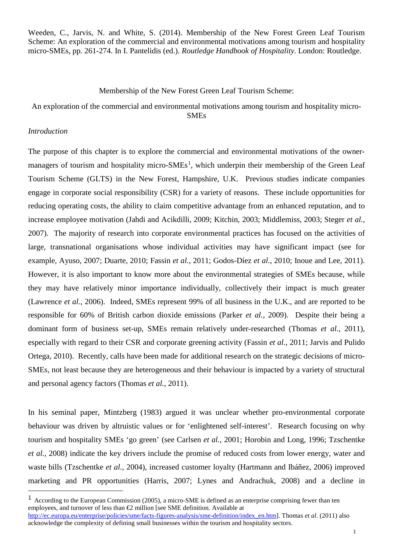Weeden, C., Jarvis, N. and White, S. (2014). Membership of the New Forest Green Leaf Tourism Scheme: An exploration of the commercial and environmental motivations among tourism and hospitality micro-SMEs, pp. 261-274. In I. Pantelidis (ed.). *Routledge Handbook of Hospitality*. London: Routledge.

### Membership of the New Forest Green Leaf Tourism Scheme:

An exploration of the commercial and environmental motivations among tourism and hospitality micro-SMEs

#### *Introduction*

1

The purpose of this chapter is to explore the commercial and environmental motivations of the owner-managers of tourism and hospitality micro-SMEs<sup>[1](#page-0-0)</sup>, which underpin their membership of the Green Leaf Tourism Scheme (GLTS) in the New Forest, Hampshire, U.K. Previous studies indicate companies engage in corporate social responsibility (CSR) for a variety of reasons. These include opportunities for reducing operating costs, the ability to claim competitive advantage from an enhanced reputation, and to increase employee motivation (Jahdi and Acikdilli, 2009; Kitchin, 2003; Middlemiss, 2003; Steger *et al.*, 2007). The majority of research into corporate environmental practices has focused on the activities of large, transnational organisations whose individual activities may have significant impact (see for example, Ayuso, 2007; Duarte, 2010; Fassin *et al.*, 2011; Godos-Díez *et al*., 2010; Inoue and Lee, 2011). However, it is also important to know more about the environmental strategies of SMEs because, while they may have relatively minor importance individually, collectively their impact is much greater (Lawrence *et al.*, 2006). Indeed, SMEs represent 99% of all business in the U.K., and are reported to be responsible for 60% of British carbon dioxide emissions (Parker *et al.*, 2009). Despite their being a dominant form of business set-up, SMEs remain relatively under-researched (Thomas *et al.*, 2011), especially with regard to their CSR and corporate greening activity (Fassin *et al.*, 2011; Jarvis and Pulido Ortega, 2010). Recently, calls have been made for additional research on the strategic decisions of micro-SMEs, not least because they are heterogeneous and their behaviour is impacted by a variety of structural and personal agency factors (Thomas *et al.*, 2011).

In his seminal paper, Mintzberg (1983) argued it was unclear whether pro-environmental corporate behaviour was driven by altruistic values or for 'enlightened self-interest'. Research focusing on why tourism and hospitality SMEs 'go green' (see Carlsen *et al.*, 2001; Horobin and Long, 1996; Tzschentke *et al.*, 2008) indicate the key drivers include the promise of reduced costs from lower energy, water and waste bills (Tzschentke *et al.*, 2004), increased customer loyalty (Hartmann and Ibáñez, 2006) improved marketing and PR opportunities (Harris, 2007; Lynes and Andrachuk, 2008) and a decline in

<span id="page-0-0"></span><sup>1</sup> According to the European Commission (2005), a micro-SME is defined as an enterprise comprising fewer than ten employees, and turnover of less than €2 million [see SME definition. Available at [http://ec.europa.eu/enterprise/policies/sme/facts-figures-analysis/sme-definition/index\\_en.htm\]](http://ec.europa.eu/enterprise/policies/sme/facts-figures-analysis/sme-definition/index_en.htm). Thomas *et al.* (2011) also acknowledge the complexity of defining small businesses within the tourism and hospitality sectors.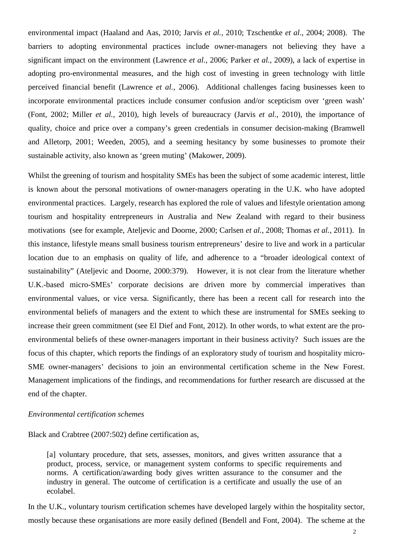environmental impact (Haaland and Aas, 2010; Jarvis *et al.*, 2010; Tzschentke *et al*., 2004; 2008). The barriers to adopting environmental practices include owner-managers not believing they have a significant impact on the environment (Lawrence *et al.*, 2006; Parker *et al.*, 2009), a lack of expertise in adopting pro-environmental measures, and the high cost of investing in green technology with little perceived financial benefit (Lawrence *et al.*, 2006). Additional challenges facing businesses keen to incorporate environmental practices include consumer confusion and/or scepticism over 'green wash' (Font, 2002; Miller *et al.*, 2010), high levels of bureaucracy (Jarvis *et al.*, 2010), the importance of quality, choice and price over a company's green credentials in consumer decision-making (Bramwell and Alletorp, 2001; Weeden, 2005), and a seeming hesitancy by some businesses to promote their sustainable activity, also known as 'green muting' (Makower, 2009).

Whilst the greening of tourism and hospitality SMEs has been the subject of some academic interest, little is known about the personal motivations of owner-managers operating in the U.K. who have adopted environmental practices. Largely, research has explored the role of values and lifestyle orientation among tourism and hospitality entrepreneurs in Australia and New Zealand with regard to their business motivations (see for example, Ateljevic and Doorne, 2000; Carlsen *et al.*, 2008; Thomas *et al.*, 2011). In this instance, lifestyle means small business tourism entrepreneurs' desire to live and work in a particular location due to an emphasis on quality of life, and adherence to a "broader ideological context of sustainability" (Ateljevic and Doorne, 2000:379). However, it is not clear from the literature whether U.K.-based micro-SMEs' corporate decisions are driven more by commercial imperatives than environmental values, or vice versa. Significantly, there has been a recent call for research into the environmental beliefs of managers and the extent to which these are instrumental for SMEs seeking to increase their green commitment (see El Dief and Font, 2012). In other words, to what extent are the proenvironmental beliefs of these owner-managers important in their business activity? Such issues are the focus of this chapter, which reports the findings of an exploratory study of tourism and hospitality micro-SME owner-managers' decisions to join an environmental certification scheme in the New Forest. Management implications of the findings, and recommendations for further research are discussed at the end of the chapter.

#### *Environmental certification schemes*

Black and Crabtree (2007:502) define certification as,

[a] voluntary procedure, that sets, assesses, monitors, and gives written assurance that a product, process, service, or management system conforms to specific requirements and norms. A certification/awarding body gives written assurance to the consumer and the industry in general. The outcome of certification is a certificate and usually the use of an ecolabel.

In the U.K., voluntary tourism certification schemes have developed largely within the hospitality sector, mostly because these organisations are more easily defined (Bendell and Font, 2004). The scheme at the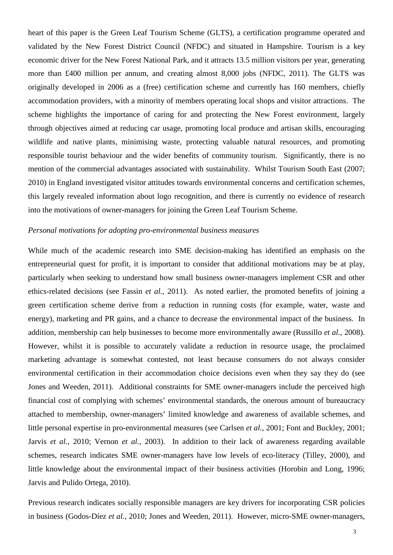heart of this paper is the Green Leaf Tourism Scheme (GLTS), a certification programme operated and validated by the New Forest District Council (NFDC) and situated in Hampshire. Tourism is a key economic driver for the New Forest National Park, and it attracts 13.5 million visitors per year, generating more than £400 million per annum, and creating almost 8,000 jobs (NFDC, 2011). The GLTS was originally developed in 2006 as a (free) certification scheme and currently has 160 members, chiefly accommodation providers, with a minority of members operating local shops and visitor attractions. The scheme highlights the importance of caring for and protecting the New Forest environment, largely through objectives aimed at reducing car usage, promoting local produce and artisan skills, encouraging wildlife and native plants, minimising waste, protecting valuable natural resources, and promoting responsible tourist behaviour and the wider benefits of community tourism. Significantly, there is no mention of the commercial advantages associated with sustainability. Whilst Tourism South East (2007; 2010) in England investigated visitor attitudes towards environmental concerns and certification schemes, this largely revealed information about logo recognition, and there is currently no evidence of research into the motivations of owner-managers for joining the Green Leaf Tourism Scheme.

## *Personal motivations for adopting pro-environmental business measures*

While much of the academic research into SME decision-making has identified an emphasis on the entrepreneurial quest for profit, it is important to consider that additional motivations may be at play, particularly when seeking to understand how small business owner-managers implement CSR and other ethics-related decisions (see Fassin *et al.*, 2011). As noted earlier, the promoted benefits of joining a green certification scheme derive from a reduction in running costs (for example, water, waste and energy), marketing and PR gains, and a chance to decrease the environmental impact of the business. In addition, membership can help businesses to become more environmentally aware (Russillo *et al.*, 2008). However, whilst it is possible to accurately validate a reduction in resource usage, the proclaimed marketing advantage is somewhat contested, not least because consumers do not always consider environmental certification in their accommodation choice decisions even when they say they do (see Jones and Weeden, 2011). Additional constraints for SME owner-managers include the perceived high financial cost of complying with schemes' environmental standards, the onerous amount of bureaucracy attached to membership, owner-managers' limited knowledge and awareness of available schemes, and little personal expertise in pro-environmental measures (see Carlsen *et al.*, 2001; Font and Buckley, 2001; Jarvis *et al.*, 2010; Vernon *et al.*, 2003). In addition to their lack of awareness regarding available schemes, research indicates SME owner-managers have low levels of eco-literacy (Tilley, 2000), and little knowledge about the environmental impact of their business activities (Horobin and Long, 1996; Jarvis and Pulido Ortega, 2010).

Previous research indicates socially responsible managers are key drivers for incorporating CSR policies in business (Godos-Díez *et al.*, 2010; Jones and Weeden, 2011). However, micro-SME owner-managers,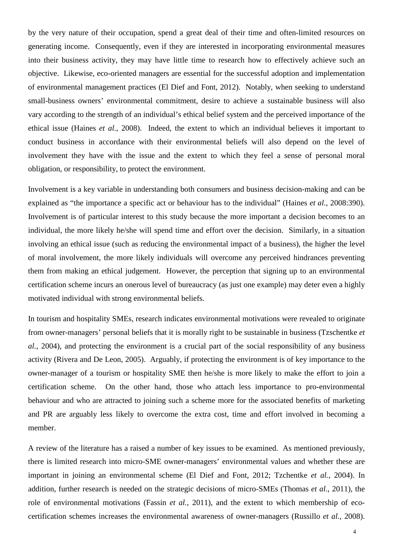by the very nature of their occupation, spend a great deal of their time and often-limited resources on generating income. Consequently, even if they are interested in incorporating environmental measures into their business activity, they may have little time to research how to effectively achieve such an objective. Likewise, eco-oriented managers are essential for the successful adoption and implementation of environmental management practices (El Dief and Font, 2012). Notably, when seeking to understand small-business owners' environmental commitment, desire to achieve a sustainable business will also vary according to the strength of an individual's ethical belief system and the perceived importance of the ethical issue (Haines *et al.*, 2008). Indeed, the extent to which an individual believes it important to conduct business in accordance with their environmental beliefs will also depend on the level of involvement they have with the issue and the extent to which they feel a sense of personal moral obligation, or responsibility, to protect the environment.

Involvement is a key variable in understanding both consumers and business decision-making and can be explained as "the importance a specific act or behaviour has to the individual" (Haines *et al.*, 2008:390). Involvement is of particular interest to this study because the more important a decision becomes to an individual, the more likely he/she will spend time and effort over the decision. Similarly, in a situation involving an ethical issue (such as reducing the environmental impact of a business), the higher the level of moral involvement, the more likely individuals will overcome any perceived hindrances preventing them from making an ethical judgement. However, the perception that signing up to an environmental certification scheme incurs an onerous level of bureaucracy (as just one example) may deter even a highly motivated individual with strong environmental beliefs.

In tourism and hospitality SMEs, research indicates environmental motivations were revealed to originate from owner-managers' personal beliefs that it is morally right to be sustainable in business (Tzschentke *et al.*, 2004), and protecting the environment is a crucial part of the social responsibility of any business activity (Rivera and De Leon, 2005). Arguably, if protecting the environment is of key importance to the owner-manager of a tourism or hospitality SME then he/she is more likely to make the effort to join a certification scheme. On the other hand, those who attach less importance to pro-environmental behaviour and who are attracted to joining such a scheme more for the associated benefits of marketing and PR are arguably less likely to overcome the extra cost, time and effort involved in becoming a member.

A review of the literature has a raised a number of key issues to be examined. As mentioned previously, there is limited research into micro-SME owner-managers' environmental values and whether these are important in joining an environmental scheme (El Dief and Font, 2012; Tzchentke *et al.*, 2004). In addition, further research is needed on the strategic decisions of micro-SMEs (Thomas *et al.*, 2011), the role of environmental motivations (Fassin *et al.*, 2011), and the extent to which membership of ecocertification schemes increases the environmental awareness of owner-managers (Russillo *et al.*, 2008).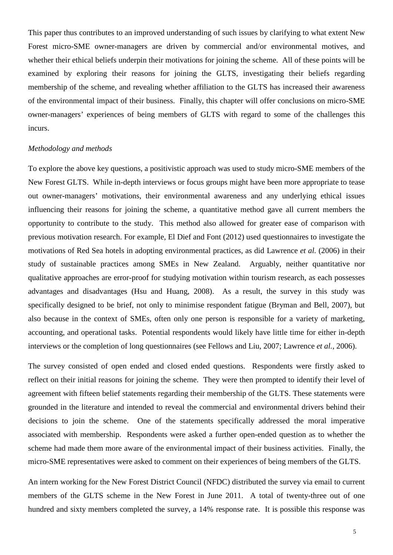This paper thus contributes to an improved understanding of such issues by clarifying to what extent New Forest micro-SME owner-managers are driven by commercial and/or environmental motives, and whether their ethical beliefs underpin their motivations for joining the scheme. All of these points will be examined by exploring their reasons for joining the GLTS, investigating their beliefs regarding membership of the scheme, and revealing whether affiliation to the GLTS has increased their awareness of the environmental impact of their business. Finally, this chapter will offer conclusions on micro-SME owner-managers' experiences of being members of GLTS with regard to some of the challenges this incurs.

### *Methodology and methods*

To explore the above key questions, a positivistic approach was used to study micro-SME members of the New Forest GLTS. While in-depth interviews or focus groups might have been more appropriate to tease out owner-managers' motivations, their environmental awareness and any underlying ethical issues influencing their reasons for joining the scheme, a quantitative method gave all current members the opportunity to contribute to the study. This method also allowed for greater ease of comparison with previous motivation research. For example, El Dief and Font (2012) used questionnaires to investigate the motivations of Red Sea hotels in adopting environmental practices, as did Lawrence *et al.* (2006) in their study of sustainable practices among SMEs in New Zealand. Arguably, neither quantitative nor qualitative approaches are error-proof for studying motivation within tourism research, as each possesses advantages and disadvantages (Hsu and Huang, 2008). As a result, the survey in this study was specifically designed to be brief, not only to minimise respondent fatigue (Bryman and Bell, 2007), but also because in the context of SMEs, often only one person is responsible for a variety of marketing, accounting, and operational tasks. Potential respondents would likely have little time for either in-depth interviews or the completion of long questionnaires (see Fellows and Liu, 2007; Lawrence *et al.*, 2006).

The survey consisted of open ended and closed ended questions. Respondents were firstly asked to reflect on their initial reasons for joining the scheme. They were then prompted to identify their level of agreement with fifteen belief statements regarding their membership of the GLTS. These statements were grounded in the literature and intended to reveal the commercial and environmental drivers behind their decisions to join the scheme. One of the statements specifically addressed the moral imperative associated with membership. Respondents were asked a further open-ended question as to whether the scheme had made them more aware of the environmental impact of their business activities. Finally, the micro-SME representatives were asked to comment on their experiences of being members of the GLTS.

An intern working for the New Forest District Council (NFDC) distributed the survey via email to current members of the GLTS scheme in the New Forest in June 2011. A total of twenty-three out of one hundred and sixty members completed the survey, a 14% response rate. It is possible this response was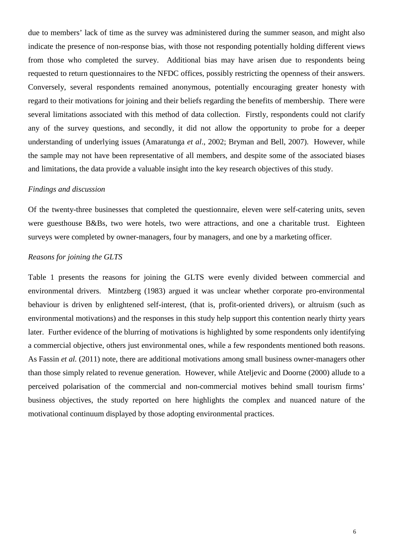due to members' lack of time as the survey was administered during the summer season, and might also indicate the presence of non-response bias, with those not responding potentially holding different views from those who completed the survey. Additional bias may have arisen due to respondents being requested to return questionnaires to the NFDC offices, possibly restricting the openness of their answers. Conversely, several respondents remained anonymous, potentially encouraging greater honesty with regard to their motivations for joining and their beliefs regarding the benefits of membership. There were several limitations associated with this method of data collection. Firstly, respondents could not clarify any of the survey questions, and secondly, it did not allow the opportunity to probe for a deeper understanding of underlying issues (Amaratunga *et al*., 2002; Bryman and Bell, 2007). However, while the sample may not have been representative of all members, and despite some of the associated biases and limitations, the data provide a valuable insight into the key research objectives of this study.

### *Findings and discussion*

Of the twenty-three businesses that completed the questionnaire, eleven were self-catering units, seven were guesthouse B&Bs, two were hotels, two were attractions, and one a charitable trust. Eighteen surveys were completed by owner-managers, four by managers, and one by a marketing officer.

# *Reasons for joining the GLTS*

Table 1 presents the reasons for joining the GLTS were evenly divided between commercial and environmental drivers. Mintzberg (1983) argued it was unclear whether corporate pro-environmental behaviour is driven by enlightened self-interest, (that is, profit-oriented drivers), or altruism (such as environmental motivations) and the responses in this study help support this contention nearly thirty years later. Further evidence of the blurring of motivations is highlighted by some respondents only identifying a commercial objective, others just environmental ones, while a few respondents mentioned both reasons. As Fassin *et al.* (2011) note, there are additional motivations among small business owner-managers other than those simply related to revenue generation. However, while Ateljevic and Doorne (2000) allude to a perceived polarisation of the commercial and non-commercial motives behind small tourism firms' business objectives, the study reported on here highlights the complex and nuanced nature of the motivational continuum displayed by those adopting environmental practices.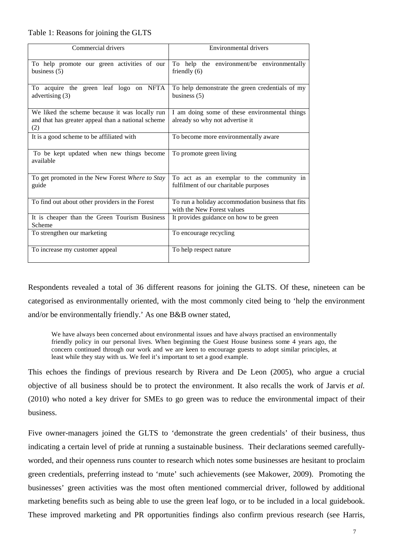# Table 1: Reasons for joining the GLTS

| Commercial drivers                                                                                          | <b>Environmental drivers</b>                                                       |  |  |  |  |  |
|-------------------------------------------------------------------------------------------------------------|------------------------------------------------------------------------------------|--|--|--|--|--|
| To help promote our green activities of our<br>business $(5)$                                               | To help the environment/be environmentally<br>friendly $(6)$                       |  |  |  |  |  |
| To acquire the green leaf logo on NFTA<br>advertising $(3)$                                                 | To help demonstrate the green credentials of my<br>business $(5)$                  |  |  |  |  |  |
| We liked the scheme because it was locally run<br>and that has greater appeal than a national scheme<br>(2) | I am doing some of these environmental things<br>already so why not advertise it   |  |  |  |  |  |
| It is a good scheme to be affiliated with                                                                   | To become more environmentally aware                                               |  |  |  |  |  |
| To be kept updated when new things become<br>available                                                      | To promote green living                                                            |  |  |  |  |  |
| To get promoted in the New Forest Where to Stay<br>guide                                                    | To act as an exemplar to the community in<br>fulfilment of our charitable purposes |  |  |  |  |  |
| To find out about other providers in the Forest                                                             | To run a holiday accommodation business that fits<br>with the New Forest values    |  |  |  |  |  |
| It is cheaper than the Green Tourism Business<br>Scheme                                                     | It provides guidance on how to be green                                            |  |  |  |  |  |
| To strengthen our marketing                                                                                 | To encourage recycling                                                             |  |  |  |  |  |
| To increase my customer appeal                                                                              | To help respect nature                                                             |  |  |  |  |  |

Respondents revealed a total of 36 different reasons for joining the GLTS. Of these, nineteen can be categorised as environmentally oriented, with the most commonly cited being to 'help the environment and/or be environmentally friendly.' As one B&B owner stated,

We have always been concerned about environmental issues and have always practised an environmentally friendly policy in our personal lives. When beginning the Guest House business some 4 years ago, the concern continued through our work and we are keen to encourage guests to adopt similar principles, at least while they stay with us. We feel it's important to set a good example.

This echoes the findings of previous research by Rivera and De Leon (2005), who argue a crucial objective of all business should be to protect the environment. It also recalls the work of Jarvis *et al.* (2010) who noted a key driver for SMEs to go green was to reduce the environmental impact of their business.

Five owner-managers joined the GLTS to 'demonstrate the green credentials' of their business, thus indicating a certain level of pride at running a sustainable business. Their declarations seemed carefullyworded, and their openness runs counter to research which notes some businesses are hesitant to proclaim green credentials, preferring instead to 'mute' such achievements (see Makower, 2009). Promoting the businesses' green activities was the most often mentioned commercial driver, followed by additional marketing benefits such as being able to use the green leaf logo, or to be included in a local guidebook. These improved marketing and PR opportunities findings also confirm previous research (see Harris,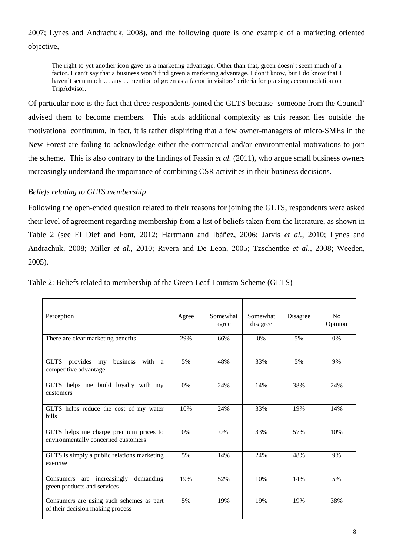2007; Lynes and Andrachuk, 2008), and the following quote is one example of a marketing oriented objective,

The right to yet another icon gave us a marketing advantage. Other than that, green doesn't seem much of a factor. I can't say that a business won't find green a marketing advantage. I don't know, but I do know that I haven't seen much ... any ... mention of green as a factor in visitors' criteria for praising accommodation on TripAdvisor.

Of particular note is the fact that three respondents joined the GLTS because 'someone from the Council' advised them to become members. This adds additional complexity as this reason lies outside the motivational continuum. In fact, it is rather dispiriting that a few owner-managers of micro-SMEs in the New Forest are failing to acknowledge either the commercial and/or environmental motivations to join the scheme. This is also contrary to the findings of Fassin *et al.* (2011), who argue small business owners increasingly understand the importance of combining CSR activities in their business decisions.

# *Beliefs relating to GLTS membership*

Following the open-ended question related to their reasons for joining the GLTS, respondents were asked their level of agreement regarding membership from a list of beliefs taken from the literature, as shown in Table 2 (see El Dief and Font, 2012; Hartmann and Ibáñez, 2006; Jarvis *et al.*, 2010; Lynes and Andrachuk, 2008; Miller *et al.*, 2010; Rivera and De Leon, 2005; Tzschentke *et al.*, 2008; Weeden, 2005).

| Perception                                                                    | Agree | Somewhat<br>agree | Somewhat<br>disagree | Disagree | N <sub>0</sub><br>Opinion |
|-------------------------------------------------------------------------------|-------|-------------------|----------------------|----------|---------------------------|
| There are clear marketing benefits                                            | 29%   | 66%               | 0%                   | 5%       | 0%                        |
| GLTS provides my<br>business<br>with a<br>competitive advantage               | 5%    | 48%               | 33%                  | 5%       | 9%                        |
| GLTS helps me build loyalty with my<br>customers                              | 0%    | 24%               | 14%                  | 38%      | 24%                       |
| GLTS helps reduce the cost of my water<br>bills                               | 10%   | 24%               | 33%                  | 19%      | 14%                       |
| GLTS helps me charge premium prices to<br>environmentally concerned customers | 0%    | 0%                | 33%                  | 57%      | 10%                       |
| GLTS is simply a public relations marketing<br>exercise                       | 5%    | 14%               | 24%                  | 48%      | 9%                        |
| Consumers are increasingly<br>demanding<br>green products and services        | 19%   | 52%               | 10%                  | 14%      | 5%                        |
| Consumers are using such schemes as part<br>of their decision making process  | 5%    | 19%               | 19%                  | 19%      | 38%                       |

Table 2: Beliefs related to membership of the Green Leaf Tourism Scheme (GLTS)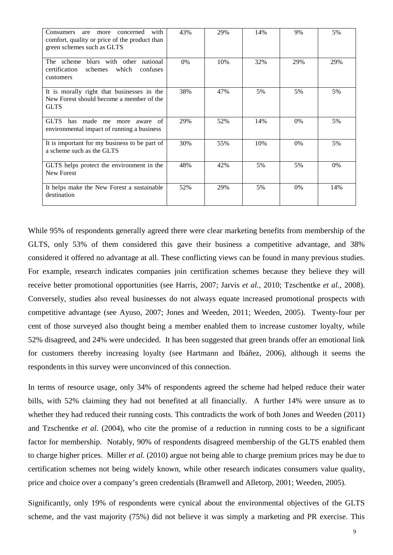| with<br><b>Consumers</b><br>concerned<br>are<br>more<br>comfort, quality or price of the product than<br>green schemes such as GLTS | 43% | 29% | 14% | 9%    | 5%    |
|-------------------------------------------------------------------------------------------------------------------------------------|-----|-----|-----|-------|-------|
| The scheme blurs with other national<br>certification<br>schemes<br>which<br>confuses<br>customers                                  | 0%  | 10% | 32% | 29%   | 29%   |
| It is morally right that businesses in the<br>New Forest should become a member of the<br><b>GLTS</b>                               | 38% | 47% | 5%  | 5%    | 5%    |
| has made me<br><b>GLTS</b><br>- of<br>more<br>aware<br>environmental impact of running a business                                   | 29% | 52% | 14% | $0\%$ | 5%    |
| It is important for my business to be part of<br>a scheme such as the GLTS                                                          | 30% | 55% | 10% | 0%    | 5%    |
| GLTS helps protect the environment in the<br>New Forest                                                                             | 48% | 42% | 5%  | 5%    | $0\%$ |
| It helps make the New Forest a sustainable<br>destination                                                                           | 52% | 29% | 5%  | 0%    | 14%   |

While 95% of respondents generally agreed there were clear marketing benefits from membership of the GLTS, only 53% of them considered this gave their business a competitive advantage, and 38% considered it offered no advantage at all. These conflicting views can be found in many previous studies. For example, research indicates companies join certification schemes because they believe they will receive better promotional opportunities (see Harris, 2007; Jarvis *et al.*, 2010; Tzschentke *et al.*, 2008). Conversely, studies also reveal businesses do not always equate increased promotional prospects with competitive advantage (see Ayuso, 2007; Jones and Weeden, 2011; Weeden, 2005). Twenty-four per cent of those surveyed also thought being a member enabled them to increase customer loyalty, while 52% disagreed, and 24% were undecided. It has been suggested that green brands offer an emotional link for customers thereby increasing loyalty (see Hartmann and Ibáñez, 2006), although it seems the respondents in this survey were unconvinced of this connection.

In terms of resource usage, only 34% of respondents agreed the scheme had helped reduce their water bills, with 52% claiming they had not benefited at all financially. A further 14% were unsure as to whether they had reduced their running costs. This contradicts the work of both Jones and Weeden (2011) and Tzschentke *et al.* (2004), who cite the promise of a reduction in running costs to be a significant factor for membership. Notably, 90% of respondents disagreed membership of the GLTS enabled them to charge higher prices. Miller *et al.* (2010) argue not being able to charge premium prices may be due to certification schemes not being widely known, while other research indicates consumers value quality, price and choice over a company's green credentials (Bramwell and Alletorp, 2001; Weeden, 2005).

Significantly, only 19% of respondents were cynical about the environmental objectives of the GLTS scheme, and the vast majority (75%) did not believe it was simply a marketing and PR exercise. This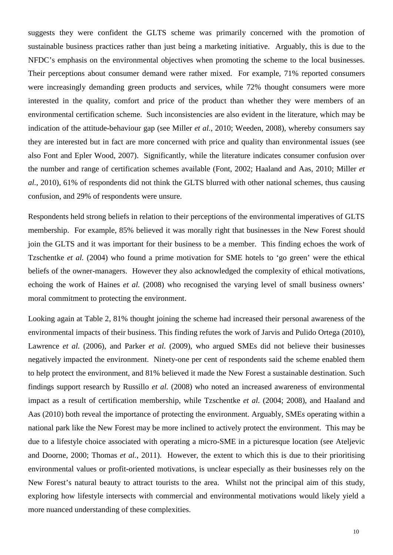suggests they were confident the GLTS scheme was primarily concerned with the promotion of sustainable business practices rather than just being a marketing initiative. Arguably, this is due to the NFDC's emphasis on the environmental objectives when promoting the scheme to the local businesses. Their perceptions about consumer demand were rather mixed. For example, 71% reported consumers were increasingly demanding green products and services, while 72% thought consumers were more interested in the quality, comfort and price of the product than whether they were members of an environmental certification scheme. Such inconsistencies are also evident in the literature, which may be indication of the attitude-behaviour gap (see Miller *et al.*, 2010; Weeden, 2008), whereby consumers say they are interested but in fact are more concerned with price and quality than environmental issues (see also Font and Epler Wood, 2007). Significantly, while the literature indicates consumer confusion over the number and range of certification schemes available (Font, 2002; Haaland and Aas, 2010; Miller *et al.*, 2010), 61% of respondents did not think the GLTS blurred with other national schemes, thus causing confusion, and 29% of respondents were unsure.

Respondents held strong beliefs in relation to their perceptions of the environmental imperatives of GLTS membership. For example, 85% believed it was morally right that businesses in the New Forest should join the GLTS and it was important for their business to be a member. This finding echoes the work of Tzschentke *et al.* (2004) who found a prime motivation for SME hotels to 'go green' were the ethical beliefs of the owner-managers. However they also acknowledged the complexity of ethical motivations, echoing the work of Haines *et al.* (2008) who recognised the varying level of small business owners' moral commitment to protecting the environment.

Looking again at Table 2, 81% thought joining the scheme had increased their personal awareness of the environmental impacts of their business. This finding refutes the work of Jarvis and Pulido Ortega (2010), Lawrence *et al.* (2006), and Parker *et al.* (2009), who argued SMEs did not believe their businesses negatively impacted the environment. Ninety-one per cent of respondents said the scheme enabled them to help protect the environment, and 81% believed it made the New Forest a sustainable destination. Such findings support research by Russillo *et al.* (2008) who noted an increased awareness of environmental impact as a result of certification membership, while Tzschentke *et al.* (2004; 2008), and Haaland and Aas (2010) both reveal the importance of protecting the environment. Arguably, SMEs operating within a national park like the New Forest may be more inclined to actively protect the environment. This may be due to a lifestyle choice associated with operating a micro-SME in a picturesque location (see Ateljevic and Doorne, 2000; Thomas *et al.*, 2011). However, the extent to which this is due to their prioritising environmental values or profit-oriented motivations, is unclear especially as their businesses rely on the New Forest's natural beauty to attract tourists to the area. Whilst not the principal aim of this study, exploring how lifestyle intersects with commercial and environmental motivations would likely yield a more nuanced understanding of these complexities.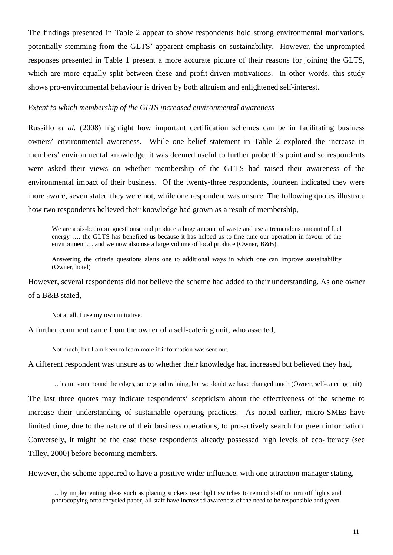The findings presented in Table 2 appear to show respondents hold strong environmental motivations, potentially stemming from the GLTS' apparent emphasis on sustainability. However, the unprompted responses presented in Table 1 present a more accurate picture of their reasons for joining the GLTS, which are more equally split between these and profit-driven motivations. In other words, this study shows pro-environmental behaviour is driven by both altruism and enlightened self-interest.

### *Extent to which membership of the GLTS increased environmental awareness*

Russillo *et al.* (2008) highlight how important certification schemes can be in facilitating business owners' environmental awareness. While one belief statement in Table 2 explored the increase in members' environmental knowledge, it was deemed useful to further probe this point and so respondents were asked their views on whether membership of the GLTS had raised their awareness of the environmental impact of their business. Of the twenty-three respondents, fourteen indicated they were more aware, seven stated they were not, while one respondent was unsure. The following quotes illustrate how two respondents believed their knowledge had grown as a result of membership,

We are a six-bedroom guesthouse and produce a huge amount of waste and use a tremendous amount of fuel energy …. the GLTS has benefited us because it has helped us to fine tune our operation in favour of the environment … and we now also use a large volume of local produce (Owner, B&B).

Answering the criteria questions alerts one to additional ways in which one can improve sustainability (Owner, hotel)

However, several respondents did not believe the scheme had added to their understanding. As one owner of a B&B stated,

Not at all, I use my own initiative.

A further comment came from the owner of a self-catering unit, who asserted,

Not much, but I am keen to learn more if information was sent out.

A different respondent was unsure as to whether their knowledge had increased but believed they had,

… learnt some round the edges, some good training, but we doubt we have changed much (Owner, self-catering unit)

The last three quotes may indicate respondents' scepticism about the effectiveness of the scheme to increase their understanding of sustainable operating practices. As noted earlier, micro-SMEs have limited time, due to the nature of their business operations, to pro-actively search for green information. Conversely, it might be the case these respondents already possessed high levels of eco-literacy (see Tilley, 2000) before becoming members.

However, the scheme appeared to have a positive wider influence, with one attraction manager stating,

… by implementing ideas such as placing stickers near light switches to remind staff to turn off lights and photocopying onto recycled paper, all staff have increased awareness of the need to be responsible and green.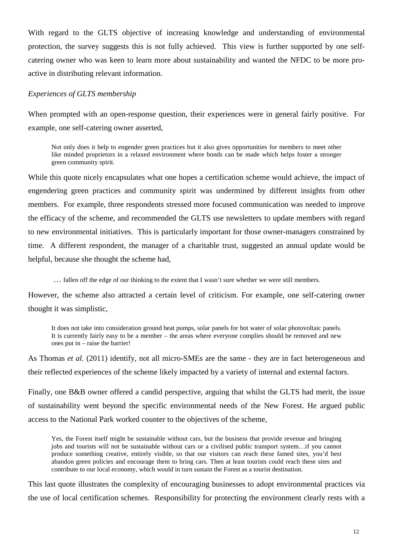With regard to the GLTS objective of increasing knowledge and understanding of environmental protection, the survey suggests this is not fully achieved. This view is further supported by one selfcatering owner who was keen to learn more about sustainability and wanted the NFDC to be more proactive in distributing relevant information.

### *Experiences of GLTS membership*

When prompted with an open-response question, their experiences were in general fairly positive. For example, one self-catering owner asserted,

Not only does it help to engender green practices but it also gives opportunities for members to meet other like minded proprietors in a relaxed environment where bonds can be made which helps foster a stronger green community spirit.

While this quote nicely encapsulates what one hopes a certification scheme would achieve, the impact of engendering green practices and community spirit was undermined by different insights from other members. For example, three respondents stressed more focused communication was needed to improve the efficacy of the scheme, and recommended the GLTS use newsletters to update members with regard to new environmental initiatives. This is particularly important for those owner-managers constrained by time. A different respondent, the manager of a charitable trust, suggested an annual update would be helpful, because she thought the scheme had,

… fallen off the edge of our thinking to the extent that I wasn't sure whether we were still members.

However, the scheme also attracted a certain level of criticism. For example, one self-catering owner thought it was simplistic,

It does not take into consideration ground heat pumps, solar panels for hot water of solar photovoltaic panels. It is currently fairly easy to be a member – the areas where everyone complies should be removed and new ones put in – raise the barrier!

As Thomas *et al.* (2011) identify, not all micro-SMEs are the same - they are in fact heterogeneous and their reflected experiences of the scheme likely impacted by a variety of internal and external factors.

Finally, one B&B owner offered a candid perspective, arguing that whilst the GLTS had merit, the issue of sustainability went beyond the specific environmental needs of the New Forest. He argued public access to the National Park worked counter to the objectives of the scheme,

Yes, the Forest itself might be sustainable without cars, but the business that provide revenue and bringing jobs and tourists will not be sustainable without cars or a civilised public transport system…if you cannot produce something creative, entirely visible, so that our visitors can reach these famed sites, you'd best abandon green policies and encourage them to bring cars. Then at least tourists could reach these sites and contribute to our local economy, which would in turn sustain the Forest as a tourist destination.

This last quote illustrates the complexity of encouraging businesses to adopt environmental practices via the use of local certification schemes. Responsibility for protecting the environment clearly rests with a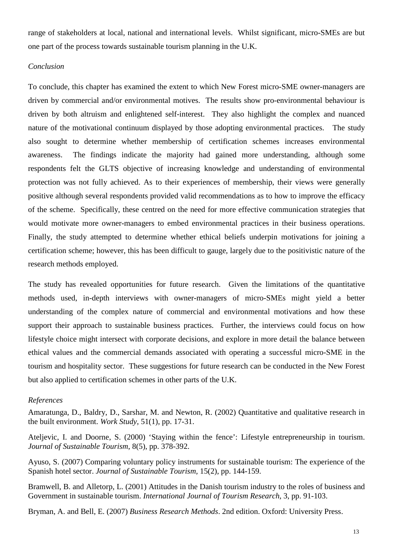range of stakeholders at local, national and international levels. Whilst significant, micro-SMEs are but one part of the process towards sustainable tourism planning in the U.K.

# *Conclusion*

To conclude, this chapter has examined the extent to which New Forest micro-SME owner-managers are driven by commercial and/or environmental motives. The results show pro-environmental behaviour is driven by both altruism and enlightened self-interest. They also highlight the complex and nuanced nature of the motivational continuum displayed by those adopting environmental practices. The study also sought to determine whether membership of certification schemes increases environmental awareness. The findings indicate the majority had gained more understanding, although some respondents felt the GLTS objective of increasing knowledge and understanding of environmental protection was not fully achieved. As to their experiences of membership, their views were generally positive although several respondents provided valid recommendations as to how to improve the efficacy of the scheme. Specifically, these centred on the need for more effective communication strategies that would motivate more owner-managers to embed environmental practices in their business operations. Finally, the study attempted to determine whether ethical beliefs underpin motivations for joining a certification scheme; however, this has been difficult to gauge, largely due to the positivistic nature of the research methods employed.

The study has revealed opportunities for future research. Given the limitations of the quantitative methods used, in-depth interviews with owner-managers of micro-SMEs might yield a better understanding of the complex nature of commercial and environmental motivations and how these support their approach to sustainable business practices. Further, the interviews could focus on how lifestyle choice might intersect with corporate decisions, and explore in more detail the balance between ethical values and the commercial demands associated with operating a successful micro-SME in the tourism and hospitality sector. These suggestions for future research can be conducted in the New Forest but also applied to certification schemes in other parts of the U.K.

# *References*

Amaratunga, D., Baldry, D., Sarshar, M. and Newton, R. (2002) Quantitative and qualitative research in the built environment. *Work Study*, 51(1), pp. 17-31.

Ateljevic, I. and Doorne, S. (2000) 'Staying within the fence': Lifestyle entrepreneurship in tourism. *Journal of Sustainable Tourism*, 8(5), pp. 378-392.

Ayuso, S. (2007) Comparing voluntary policy instruments for sustainable tourism: The experience of the Spanish hotel sector. *Journal of Sustainable Tourism,* 15(2), pp. 144-159.

Bramwell, B. and Alletorp, L. (2001) Attitudes in the Danish tourism industry to the roles of business and Government in sustainable tourism. *International Journal of Tourism Research*, 3, pp. 91-103.

Bryman, A. and Bell, E. (2007) *Business Research Methods*. 2nd edition. Oxford: University Press.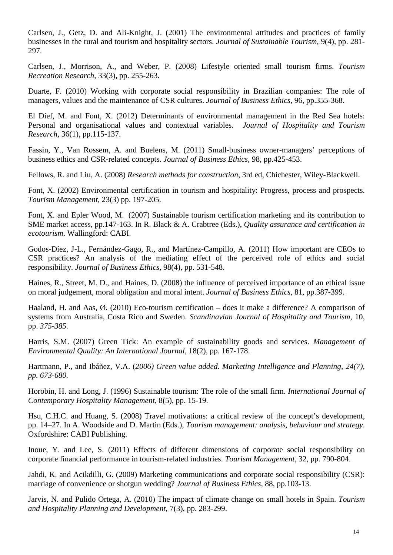Carlsen, J., Getz, D. and Ali-Knight, J. (2001) The environmental attitudes and practices of family businesses in the rural and tourism and hospitality sectors. *Journal of Sustainable Tourism,* 9(4), pp. 281- 297.

Carlsen, J., Morrison, A., and Weber, P. (2008) Lifestyle oriented small tourism firms. *Tourism Recreation Research*, 33(3), pp. 255-263.

Duarte, F. (2010) Working with corporate social responsibility in Brazilian companies: The role of managers, values and the maintenance of CSR cultures. *Journal of Business Ethics,* 96, pp.355-368.

El Dief, M. and Font, X. (2012) Determinants of environmental management in the Red Sea hotels: Personal and organisational values and contextual variables. *Journal of Hospitality and Tourism Research,* 36(1), pp.115-137.

Fassin, Y., Van Rossem, A. and Buelens, M. (2011) Small-business owner-managers' perceptions of business ethics and CSR-related concepts. *Journal of Business Ethics,* 98, pp.425-453.

Fellows, R. and Liu, A. (2008) *Research methods for construction*, 3rd ed, Chichester, Wiley-Blackwell.

Font, X. (2002) Environmental certification in tourism and hospitality: Progress, process and prospects. *Tourism Management,* 23(3) pp. 197-205.

Font, X. and Epler Wood, M. (2007) Sustainable tourism certification marketing and its contribution to SME market access, pp.147-163. In R. Black & A. Crabtree (Eds.), *Quality assurance and certification in ecotourism*. Wallingford: CABI.

Godos-Díez, J-L., Fernández-Gago, R., and Martínez-Campillo, A. (2011) How important are CEOs to CSR practices? An analysis of the mediating effect of the perceived role of ethics and social responsibility. *Journal of Business Ethics,* 98(4), pp. 531-548.

Haines, R., Street, M. D., and Haines, D. (2008) the influence of perceived importance of an ethical issue on moral judgement, moral obligation and moral intent. *Journal of Business Ethics,* 81, pp.387-399.

Haaland, H. and Aas, Ø. (2010) Eco-tourism certification – does it make a difference? A comparison of systems from Australia, Costa Rico and Sweden. *Scandinavian Journal of Hospitality and Tourism,* 10, pp. *375-385.*

Harris, S.M. (2007) Green Tick: An example of sustainability goods and services. *Management of Environmental Quality: An International Journal,* 18(2), pp. 167-178.

Hartmann, P., and Ibáñez, V.A. (*2006) Green value added. Marketing Intelligence and Planning, 24(7), pp. 673-680.*

Horobin, H. and Long, J. (1996) Sustainable tourism: The role of the small firm. *International Journal of Contemporary Hospitality Management*, 8(5), pp. 15-19.

Hsu, C.H.C. and Huang, S. (2008) Travel motivations: a critical review of the concept's development, pp. 14–27. In A. Woodside and D. Martin (Eds.), *Tourism management: analysis, behaviour and strategy*. Oxfordshire: CABI Publishing.

Inoue, Y. and Lee, S. (2011) Effects of different dimensions of corporate social responsibility on corporate financial performance in tourism-related industries. *Tourism Management,* 32, pp. 790-804.

Jahdi, K. and Acikdilli, G. (2009) Marketing communications and corporate social responsibility (CSR): marriage of convenience or shotgun wedding? *Journal of Business Ethics*, 88, pp.103-13.

Jarvis, N. and Pulido Ortega, A. (2010) The impact of climate change on small hotels in Spain. *Tourism and Hospitality Planning and Development,* 7(3), pp. 283-299.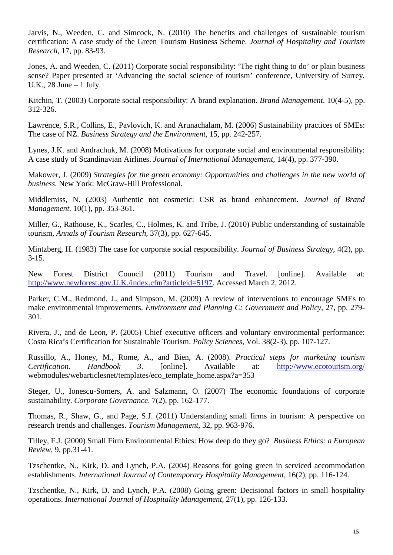Jarvis, N., Weeden, C. and Simcock, N. (2010) The benefits and challenges of sustainable tourism certification: A case study of the Green Tourism Business Scheme. *Journal of Hospitality and Tourism Research,* 17, pp. 83-93.

Jones, A. and Weeden, C. (2011) Corporate social responsibility: 'The right thing to do' or plain business sense? Paper presented at 'Advancing the social science of tourism' conference, University of Surrey, U.K., 28 June – 1 July.

Kitchin, T. (2003) Corporate social responsibility: A brand explanation. *Brand Management*. 10(4-5), pp. 312-326.

Lawrence, S.R., Collins, E., Pavlovich, K. and Arunachalam, M. (2006) Sustainability practices of SMEs: The case of NZ. *Business Strategy and the Environment,* 15, pp. 242-257.

Lynes, J.K. and Andrachuk, M. (2008) Motivations for corporate social and environmental responsibility: A case study of Scandinavian Airlines. *Journal of International Management,* 14(4), pp. 377-390.

Makower, J. (2009) *Strategies for the green economy: Opportunities and challenges in the new world of business*. New York: McGraw-Hill Professional.

Middlemiss, N. (2003) Authentic not cosmetic: CSR as brand enhancement. *Journal of Brand Management.* 10(1), pp. 353-361.

Miller, G., Rathouse, K., Scarles, C., Holmes, K. and Tribe, J. (2010) Public understanding of sustainable tourism, *Annals of Tourism Research,* 37(3), pp*.* 627-645.

Mintzberg, H. (1983) The case for corporate social responsibility. *Journal of Business Strategy*, 4(2), pp. 3-15.

New Forest District Council (2011) Tourism and Travel. [online]. Available at: http://www.newforest.gov.U.K./index.cfm?articleid=5197. Accessed March 2, 2012.

Parker, C.M., Redmond, J., and Simpson, M. (2009) A review of interventions to encourage SMEs to make environmental improvements. *Environment and Planning C: Government and Policy,* 27, pp. 279- 301.

Rivera, J., and de Leon, P. (2005) Chief executive officers and voluntary environmental performance: Costa Rica's Certification for Sustainable Tourism. *Policy Sciences,* Vol. 38(2-3), pp. 107-127.

Russillo, A., Honey, M., Rome, A., and Bien, A. (2008). *Practical steps for marketing tourism Certification. Handbook 3*. [online]. Available at: <http://www.ecotourism.org/> webmodules/webarticlesnet/templates/eco\_template\_home.aspx?a=353

Steger, U., Ionescu-Somers, A. and Salzmann, O. (2007) The economic foundations of corporate sustainability. *Corporate Governance*. 7(2), pp. 162-177.

Thomas, R., Shaw, G., and Page, S.J. (2011) Understanding small firms in tourism: A perspective on research trends and challenges. *Tourism Management,* 32, pp. 963-976.

Tilley, F.J. (2000) Small Firm Environmental Ethics: How deep do they go? *Business Ethics: a European Review*, 9, pp.31-41.

Tzschentke, N., Kirk, D. and Lynch, P.A. (2004) Reasons for going green in serviced accommodation establishments. *International Journal of Contemporary Hospitality Management*, 16(2), pp. 116-124.

Tzschentke, N., Kirk, D. and Lynch, P.A. (2008) Going green: Decisional factors in small hospitality operations. *International Journal of Hospitality Management*, 27(1), pp. 126-133.